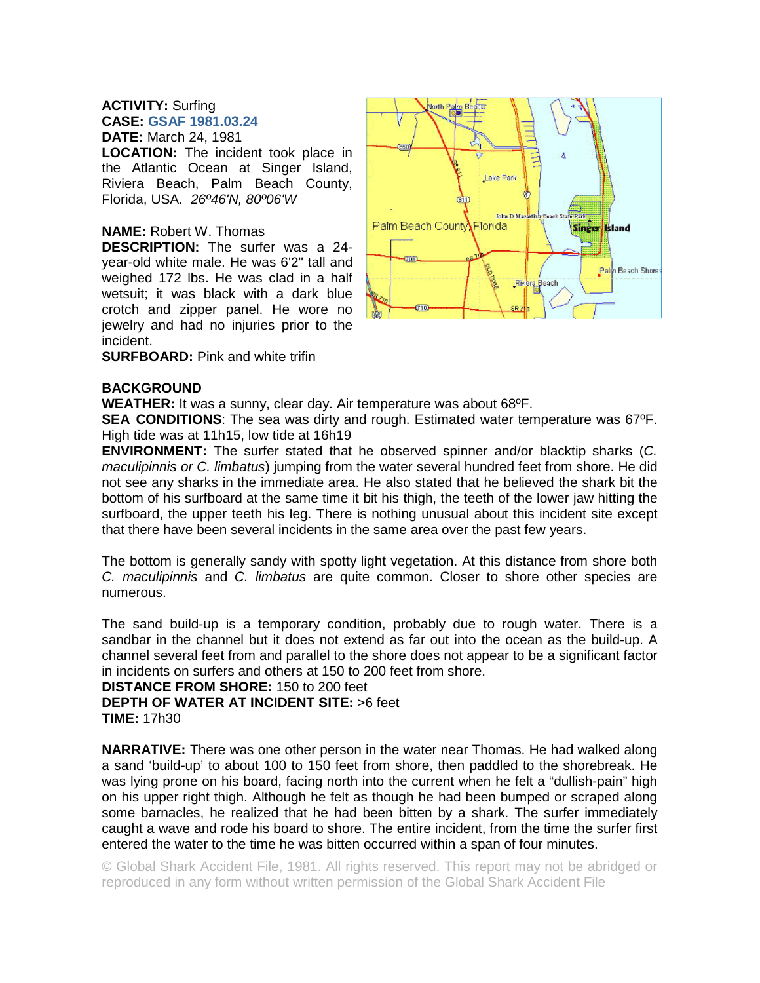## **ACTIVITY:** Surfing **CASE: GSAF 1981.03.24 DATE:** March 24, 1981

**LOCATION:** The incident took place in the Atlantic Ocean at Singer Island, Riviera Beach, Palm Beach County, Florida, USA*. 26º46'N, 80º06'W* 

## **NAME:** Robert W. Thomas

**DESCRIPTION:** The surfer was a 24 year-old white male. He was 6'2" tall and weighed 172 lbs. He was clad in a half wetsuit; it was black with a dark blue crotch and zipper panel. He wore no jewelry and had no injuries prior to the incident.

**SURFBOARD:** Pink and white trifin

## **BACKGROUND**

**WEATHER:** It was a sunny, clear day. Air temperature was about 68ºF.

**SEA CONDITIONS**: The sea was dirty and rough. Estimated water temperature was 67ºF. High tide was at 11h15, low tide at 16h19

**ENVIRONMENT:** The surfer stated that he observed spinner and/or blacktip sharks (*C. maculipinnis or C. limbatus*) jumping from the water several hundred feet from shore. He did not see any sharks in the immediate area. He also stated that he believed the shark bit the bottom of his surfboard at the same time it bit his thigh, the teeth of the lower jaw hitting the surfboard, the upper teeth his leg. There is nothing unusual about this incident site except that there have been several incidents in the same area over the past few years.

The bottom is generally sandy with spotty light vegetation. At this distance from shore both *C. maculipinnis* and *C. limbatus* are quite common. Closer to shore other species are numerous.

The sand build-up is a temporary condition, probably due to rough water. There is a sandbar in the channel but it does not extend as far out into the ocean as the build-up. A channel several feet from and parallel to the shore does not appear to be a significant factor in incidents on surfers and others at 150 to 200 feet from shore.

**DISTANCE FROM SHORE:** 150 to 200 feet **DEPTH OF WATER AT INCIDENT SITE:** >6 feet **TIME:** 17h30

**NARRATIVE:** There was one other person in the water near Thomas. He had walked along a sand 'build-up' to about 100 to 150 feet from shore, then paddled to the shorebreak. He was lying prone on his board, facing north into the current when he felt a "dullish-pain" high on his upper right thigh. Although he felt as though he had been bumped or scraped along some barnacles, he realized that he had been bitten by a shark. The surfer immediately caught a wave and rode his board to shore. The entire incident, from the time the surfer first entered the water to the time he was bitten occurred within a span of four minutes.

© Global Shark Accident File, 1981. All rights reserved. This report may not be abridged or reproduced in any form without written permission of the Global Shark Accident File